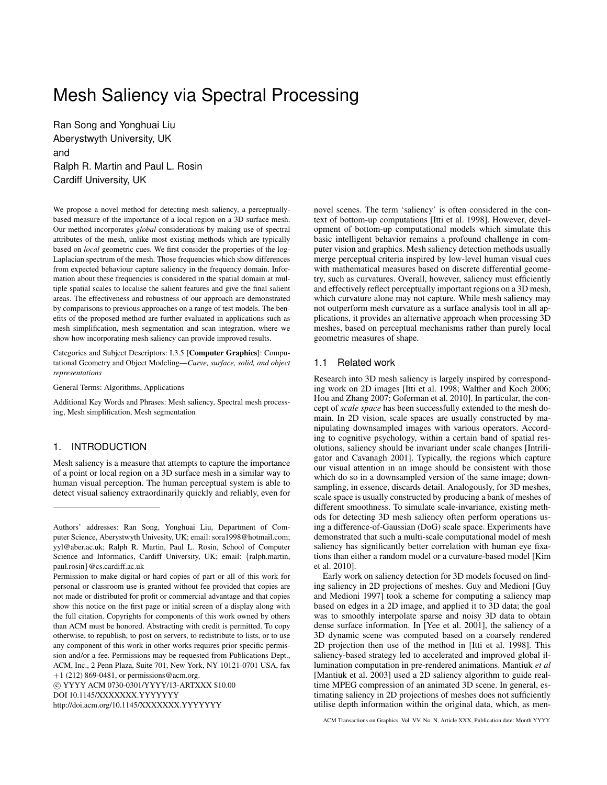# Mesh Saliency via Spectral Processing

Ran Song and Yonghuai Liu Aberystwyth University, UK and Ralph R. Martin and Paul L. Rosin Cardiff University, UK

We propose a novel method for detecting mesh saliency, a perceptuallybased measure of the importance of a local region on a 3D surface mesh. Our method incorporates *global* considerations by making use of spectral attributes of the mesh, unlike most existing methods which are typically based on *local* geometric cues. We first consider the properties of the log-Laplacian spectrum of the mesh. Those frequencies which show differences from expected behaviour capture saliency in the frequency domain. Information about these frequencies is considered in the spatial domain at multiple spatial scales to localise the salient features and give the final salient areas. The effectiveness and robustness of our approach are demonstrated by comparisons to previous approaches on a range of test models. The benefits of the proposed method are further evaluated in applications such as mesh simplification, mesh segmentation and scan integration, where we show how incorporating mesh saliency can provide improved results.

Categories and Subject Descriptors: I.3.5 [Computer Graphics]: Computational Geometry and Object Modeling—*Curve, surface, solid, and object representations*

General Terms: Algorithms, Applications

Additional Key Words and Phrases: Mesh saliency, Spectral mesh processing, Mesh simplification, Mesh segmentation

# 1. INTRODUCTION

Mesh saliency is a measure that attempts to capture the importance of a point or local region on a 3D surface mesh in a similar way to human visual perception. The human perceptual system is able to detect visual saliency extraordinarily quickly and reliably, even for

novel scenes. The term 'saliency' is often considered in the context of bottom-up computations [Itti et al. 1998]. However, development of bottom-up computational models which simulate this basic intelligent behavior remains a profound challenge in computer vision and graphics. Mesh saliency detection methods usually merge perceptual criteria inspired by low-level human visual cues with mathematical measures based on discrete differential geometry, such as curvatures. Overall, however, saliency must efficiently and effectively reflect perceptually important regions on a 3D mesh, which curvature alone may not capture. While mesh saliency may not outperform mesh curvature as a surface analysis tool in all applications, it provides an alternative approach when processing 3D meshes, based on perceptual mechanisms rather than purely local geometric measures of shape.

## 1.1 Related work

Research into 3D mesh saliency is largely inspired by corresponding work on 2D images [Itti et al. 1998; Walther and Koch 2006; Hou and Zhang 2007; Goferman et al. 2010]. In particular, the concept of *scale space* has been successfully extended to the mesh domain. In 2D vision, scale spaces are usually constructed by manipulating downsampled images with various operators. According to cognitive psychology, within a certain band of spatial resolutions, saliency should be invariant under scale changes [Intriligator and Cavanagh 2001]. Typically, the regions which capture our visual attention in an image should be consistent with those which do so in a downsampled version of the same image; downsampling, in essence, discards detail. Analogously, for 3D meshes, scale space is usually constructed by producing a bank of meshes of different smoothness. To simulate scale-invariance, existing methods for detecting 3D mesh saliency often perform operations using a difference-of-Gaussian (DoG) scale space. Experiments have demonstrated that such a multi-scale computational model of mesh saliency has significantly better correlation with human eye fixations than either a random model or a curvature-based model [Kim et al. 2010].

Early work on saliency detection for 3D models focused on finding saliency in 2D projections of meshes. Guy and Medioni [Guy and Medioni 1997] took a scheme for computing a saliency map based on edges in a 2D image, and applied it to 3D data; the goal was to smoothly interpolate sparse and noisy 3D data to obtain dense surface information. In [Yee et al. 2001], the saliency of a 3D dynamic scene was computed based on a coarsely rendered 2D projection then use of the method in [Itti et al. 1998]. This saliency-based strategy led to accelerated and improved global illumination computation in pre-rendered animations. Mantiuk *et al* [Mantiuk et al. 2003] used a 2D saliency algorithm to guide realtime MPEG compression of an animated 3D scene. In general, estimating saliency in 2D projections of meshes does not sufficiently utilise depth information within the original data, which, as men-

Authors' addresses: Ran Song, Yonghuai Liu, Department of Computer Science, Aberystwyth Univesity, UK; email: sora1998@hotmail.com; yyl@aber.ac.uk; Ralph R. Martin, Paul L. Rosin, School of Computer Science and Informatics, Cardiff University, UK; email: {ralph.martin, paul.rosin}@cs.cardiff.ac.uk

Permission to make digital or hard copies of part or all of this work for personal or classroom use is granted without fee provided that copies are not made or distributed for profit or commercial advantage and that copies show this notice on the first page or initial screen of a display along with the full citation. Copyrights for components of this work owned by others than ACM must be honored. Abstracting with credit is permitted. To copy otherwise, to republish, to post on servers, to redistribute to lists, or to use any component of this work in other works requires prior specific permission and/or a fee. Permissions may be requested from Publications Dept., ACM, Inc., 2 Penn Plaza, Suite 701, New York, NY 10121-0701 USA, fax  $+1$  (212) 869-0481, or permissions@acm.org.

c YYYY ACM 0730-0301/YYYY/13-ARTXXX \$10.00 DOI 10.1145/XXXXXXX.YYYYYYY http://doi.acm.org/10.1145/XXXXXXX.YYYYYYY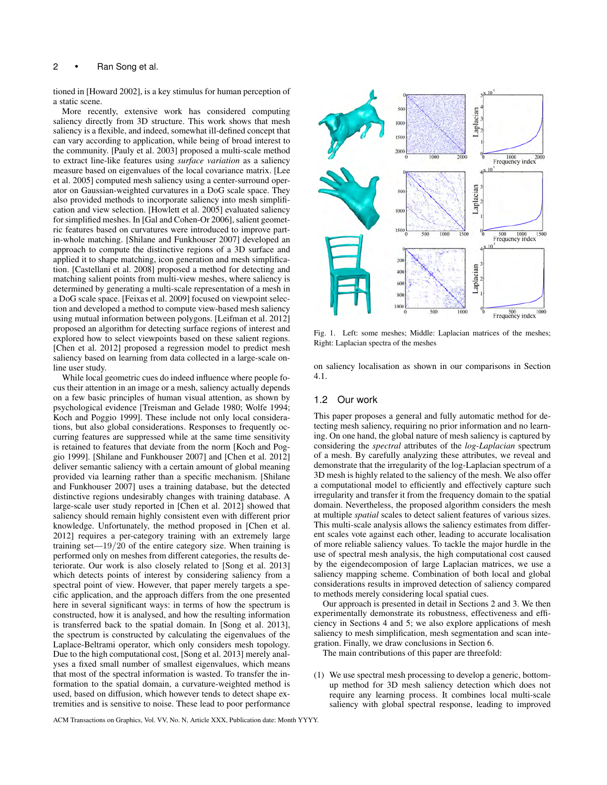tioned in [Howard 2002], is a key stimulus for human perception of a static scene.

More recently, extensive work has considered computing saliency directly from 3D structure. This work shows that mesh saliency is a flexible, and indeed, somewhat ill-defined concept that can vary according to application, while being of broad interest to the community. [Pauly et al. 2003] proposed a multi-scale method to extract line-like features using *surface variation* as a saliency measure based on eigenvalues of the local covariance matrix. [Lee et al. 2005] computed mesh saliency using a center-surround operator on Gaussian-weighted curvatures in a DoG scale space. They also provided methods to incorporate saliency into mesh simplification and view selection. [Howlett et al. 2005] evaluated saliency for simplified meshes. In [Gal and Cohen-Or 2006], salient geometric features based on curvatures were introduced to improve partin-whole matching. [Shilane and Funkhouser 2007] developed an approach to compute the distinctive regions of a 3D surface and applied it to shape matching, icon generation and mesh simplification. [Castellani et al. 2008] proposed a method for detecting and matching salient points from multi-view meshes, where saliency is determined by generating a multi-scale representation of a mesh in a DoG scale space. [Feixas et al. 2009] focused on viewpoint selection and developed a method to compute view-based mesh saliency using mutual information between polygons. [Leifman et al. 2012] proposed an algorithm for detecting surface regions of interest and explored how to select viewpoints based on these salient regions. [Chen et al. 2012] proposed a regression model to predict mesh saliency based on learning from data collected in a large-scale online user study.

While local geometric cues do indeed influence where people focus their attention in an image or a mesh, saliency actually depends on a few basic principles of human visual attention, as shown by psychological evidence [Treisman and Gelade 1980; Wolfe 1994; Koch and Poggio 1999]. These include not only local considerations, but also global considerations. Responses to frequently occurring features are suppressed while at the same time sensitivity is retained to features that deviate from the norm [Koch and Poggio 1999]. [Shilane and Funkhouser 2007] and [Chen et al. 2012] deliver semantic saliency with a certain amount of global meaning provided via learning rather than a specific mechanism. [Shilane and Funkhouser 2007] uses a training database, but the detected distinctive regions undesirably changes with training database. A large-scale user study reported in [Chen et al. 2012] showed that saliency should remain highly consistent even with different prior knowledge. Unfortunately, the method proposed in [Chen et al. 2012] requires a per-category training with an extremely large training set—19/20 of the entire category size. When training is performed only on meshes from different categories, the results deteriorate. Our work is also closely related to [Song et al. 2013] which detects points of interest by considering saliency from a spectral point of view. However, that paper merely targets a specific application, and the approach differs from the one presented here in several significant ways: in terms of how the spectrum is constructed, how it is analysed, and how the resulting information is transferred back to the spatial domain. In [Song et al. 2013], the spectrum is constructed by calculating the eigenvalues of the Laplace-Beltrami operator, which only considers mesh topology. Due to the high computational cost, [Song et al. 2013] merely analyses a fixed small number of smallest eigenvalues, which means that most of the spectral information is wasted. To transfer the information to the spatial domain, a curvature-weighted method is used, based on diffusion, which however tends to detect shape extremities and is sensitive to noise. These lead to poor performance



Fig. 1. Left: some meshes; Middle: Laplacian matrices of the meshes; Right: Laplacian spectra of the meshes

on saliency localisation as shown in our comparisons in Section 4.1.

#### 1.2 Our work

This paper proposes a general and fully automatic method for detecting mesh saliency, requiring no prior information and no learning. On one hand, the global nature of mesh saliency is captured by considering the *spectral* attributes of the *log-Laplacian* spectrum of a mesh. By carefully analyzing these attributes, we reveal and demonstrate that the irregularity of the log-Laplacian spectrum of a 3D mesh is highly related to the saliency of the mesh. We also offer a computational model to efficiently and effectively capture such irregularity and transfer it from the frequency domain to the spatial domain. Nevertheless, the proposed algorithm considers the mesh at multiple *spatial* scales to detect salient features of various sizes. This multi-scale analysis allows the saliency estimates from different scales vote against each other, leading to accurate localisation of more reliable saliency values. To tackle the major hurdle in the use of spectral mesh analysis, the high computational cost caused by the eigendecomposion of large Laplacian matrices, we use a saliency mapping scheme. Combination of both local and global considerations results in improved detection of saliency compared to methods merely considering local spatial cues.

Our approach is presented in detail in Sections 2 and 3. We then experimentally demonstrate its robustness, effectiveness and efficiency in Sections 4 and 5; we also explore applications of mesh saliency to mesh simplification, mesh segmentation and scan integration. Finally, we draw conclusions in Section 6.

The main contributions of this paper are threefold:

(1) We use spectral mesh processing to develop a generic, bottomup method for 3D mesh saliency detection which does not require any learning process. It combines local multi-scale saliency with global spectral response, leading to improved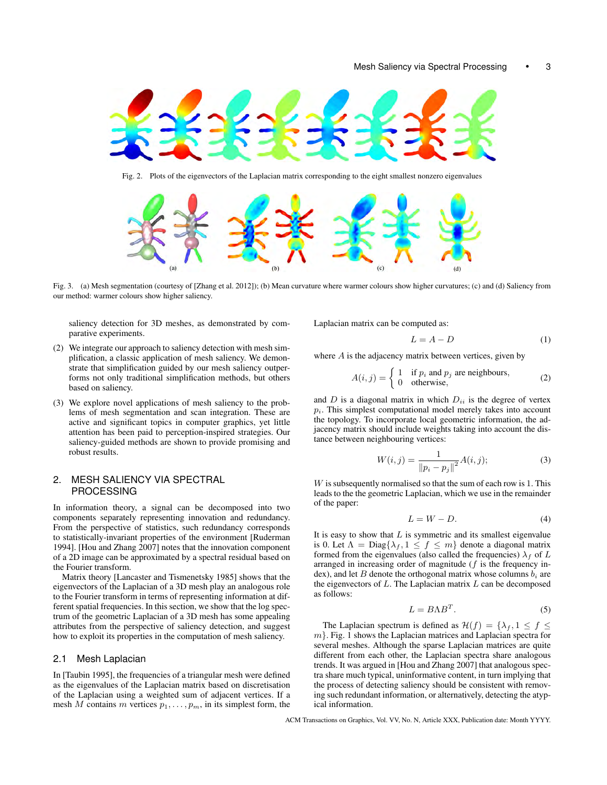

Fig. 2. Plots of the eigenvectors of the Laplacian matrix corresponding to the eight smallest nonzero eigenvalues



Fig. 3. (a) Mesh segmentation (courtesy of [Zhang et al. 2012]); (b) Mean curvature where warmer colours show higher curvatures; (c) and (d) Saliency from our method: warmer colours show higher saliency.

saliency detection for 3D meshes, as demonstrated by comparative experiments.

- (2) We integrate our approach to saliency detection with mesh simplification, a classic application of mesh saliency. We demonstrate that simplification guided by our mesh saliency outperforms not only traditional simplification methods, but others based on saliency.
- (3) We explore novel applications of mesh saliency to the problems of mesh segmentation and scan integration. These are active and significant topics in computer graphics, yet little attention has been paid to perception-inspired strategies. Our saliency-guided methods are shown to provide promising and robust results.

## 2. MESH SALIENCY VIA SPECTRAL PROCESSING

In information theory, a signal can be decomposed into two components separately representing innovation and redundancy. From the perspective of statistics, such redundancy corresponds to statistically-invariant properties of the environment [Ruderman 1994]. [Hou and Zhang 2007] notes that the innovation component of a 2D image can be approximated by a spectral residual based on the Fourier transform.

Matrix theory [Lancaster and Tismenetsky 1985] shows that the eigenvectors of the Laplacian of a 3D mesh play an analogous role to the Fourier transform in terms of representing information at different spatial frequencies. In this section, we show that the log spectrum of the geometric Laplacian of a 3D mesh has some appealing attributes from the perspective of saliency detection, and suggest how to exploit its properties in the computation of mesh saliency.

#### 2.1 Mesh Laplacian

In [Taubin 1995], the frequencies of a triangular mesh were defined as the eigenvalues of the Laplacian matrix based on discretisation of the Laplacian using a weighted sum of adjacent vertices. If a mesh M contains m vertices  $p_1, \ldots, p_m$ , in its simplest form, the

Laplacian matrix can be computed as:

$$
L = A - D \tag{1}
$$

where  $A$  is the adjacency matrix between vertices, given by

$$
A(i,j) = \begin{cases} 1 & \text{if } p_i \text{ and } p_j \text{ are neighbours,} \\ 0 & \text{otherwise,} \end{cases}
$$
 (2)

and D is a diagonal matrix in which  $D_{ii}$  is the degree of vertex  $p<sub>i</sub>$ . This simplest computational model merely takes into account the topology. To incorporate local geometric information, the adjacency matrix should include weights taking into account the distance between neighbouring vertices:

$$
W(i,j) = \frac{1}{\|p_i - p_j\|^2} A(i,j); \tag{3}
$$

 $W$  is subsequently normalised so that the sum of each row is 1. This leads to the the geometric Laplacian, which we use in the remainder of the paper:

$$
L = W - D. \tag{4}
$$

It is easy to show that  $L$  is symmetric and its smallest eigenvalue is 0. Let  $\Lambda = \text{Diag}\{\lambda_f, 1 \leq f \leq m\}$  denote a diagonal matrix formed from the eigenvalues (also called the frequencies)  $\lambda_f$  of L arranged in increasing order of magnitude (f is the frequency index), and let B denote the orthogonal matrix whose columns  $b_i$  are the eigenvectors of  $L$ . The Laplacian matrix  $L$  can be decomposed as follows:

$$
L = B\Lambda B^T. \tag{5}
$$

The Laplacian spectrum is defined as  $\mathcal{H}(f) = \{\lambda_f, 1 \leq f \leq f\}$ m}. Fig. 1 shows the Laplacian matrices and Laplacian spectra for several meshes. Although the sparse Laplacian matrices are quite different from each other, the Laplacian spectra share analogous trends. It was argued in [Hou and Zhang 2007] that analogous spectra share much typical, uninformative content, in turn implying that the process of detecting saliency should be consistent with removing such redundant information, or alternatively, detecting the atypical information.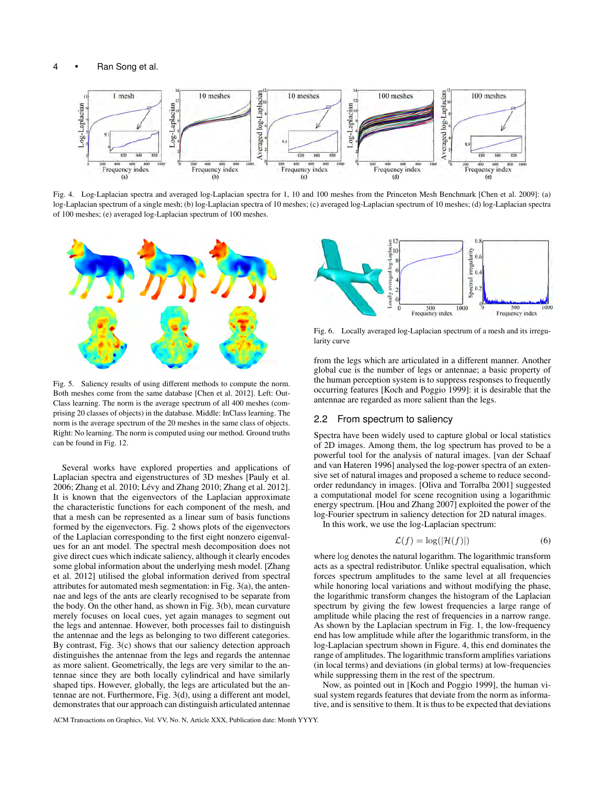

Fig. 4. Log-Laplacian spectra and averaged log-Laplacian spectra for 1, 10 and 100 meshes from the Princeton Mesh Benchmark [Chen et al. 2009]: (a) log-Laplacian spectrum of a single mesh; (b) log-Laplacian spectra of 10 meshes; (c) averaged log-Laplacian spectrum of 10 meshes; (d) log-Laplacian spectra of 100 meshes; (e) averaged log-Laplacian spectrum of 100 meshes.



Fig. 5. Saliency results of using different methods to compute the norm. Both meshes come from the same database [Chen et al. 2012]. Left: Out-Class learning. The norm is the average spectrum of all 400 meshes (comprising 20 classes of objects) in the database. Middle: InClass learning. The norm is the average spectrum of the 20 meshes in the same class of objects. Right: No learning. The norm is computed using our method. Ground truths can be found in Fig. 12.

Several works have explored properties and applications of Laplacian spectra and eigenstructures of 3D meshes [Pauly et al. 2006; Zhang et al. 2010; Lévy and Zhang 2010; Zhang et al. 2012]. It is known that the eigenvectors of the Laplacian approximate the characteristic functions for each component of the mesh, and that a mesh can be represented as a linear sum of basis functions formed by the eigenvectors. Fig. 2 shows plots of the eigenvectors of the Laplacian corresponding to the first eight nonzero eigenvalues for an ant model. The spectral mesh decomposition does not give direct cues which indicate saliency, although it clearly encodes some global information about the underlying mesh model. [Zhang et al. 2012] utilised the global information derived from spectral attributes for automated mesh segmentation: in Fig. 3(a), the antennae and legs of the ants are clearly recognised to be separate from the body. On the other hand, as shown in Fig. 3(b), mean curvature merely focuses on local cues, yet again manages to segment out the legs and antennae. However, both processes fail to distinguish the antennae and the legs as belonging to two different categories. By contrast, Fig. 3(c) shows that our saliency detection approach distinguishes the antennae from the legs and regards the antennae as more salient. Geometrically, the legs are very similar to the antennae since they are both locally cylindrical and have similarly shaped tips. However, globally, the legs are articulated but the antennae are not. Furthermore, Fig. 3(d), using a different ant model, demonstrates that our approach can distinguish articulated antennae



Fig. 6. Locally averaged log-Laplacian spectrum of a mesh and its irregularity curve

from the legs which are articulated in a different manner. Another global cue is the number of legs or antennae; a basic property of the human perception system is to suppress responses to frequently occurring features [Koch and Poggio 1999]: it is desirable that the antennae are regarded as more salient than the legs.

## 2.2 From spectrum to saliency

Spectra have been widely used to capture global or local statistics of 2D images. Among them, the log spectrum has proved to be a powerful tool for the analysis of natural images. [van der Schaaf and van Hateren 1996] analysed the log-power spectra of an extensive set of natural images and proposed a scheme to reduce secondorder redundancy in images. [Oliva and Torralba 2001] suggested a computational model for scene recognition using a logarithmic energy spectrum. [Hou and Zhang 2007] exploited the power of the log-Fourier spectrum in saliency detection for 2D natural images.

In this work, we use the log-Laplacian spectrum:

$$
\mathcal{L}(f) = \log(|\mathcal{H}(f)|) \tag{6}
$$

where log denotes the natural logarithm. The logarithmic transform acts as a spectral redistributor. Unlike spectral equalisation, which forces spectrum amplitudes to the same level at all frequencies while honoring local variations and without modifying the phase, the logarithmic transform changes the histogram of the Laplacian spectrum by giving the few lowest frequencies a large range of amplitude while placing the rest of frequencies in a narrow range. As shown by the Laplacian spectrum in Fig. 1, the low-frequency end has low amplitude while after the logarithmic transform, in the log-Laplacian spectrum shown in Figure. 4, this end dominates the range of amplitudes. The logarithmic transform amplifies variations (in local terms) and deviations (in global terms) at low-frequencies while suppressing them in the rest of the spectrum.

Now, as pointed out in [Koch and Poggio 1999], the human visual system regards features that deviate from the norm as informative, and is sensitive to them. It is thus to be expected that deviations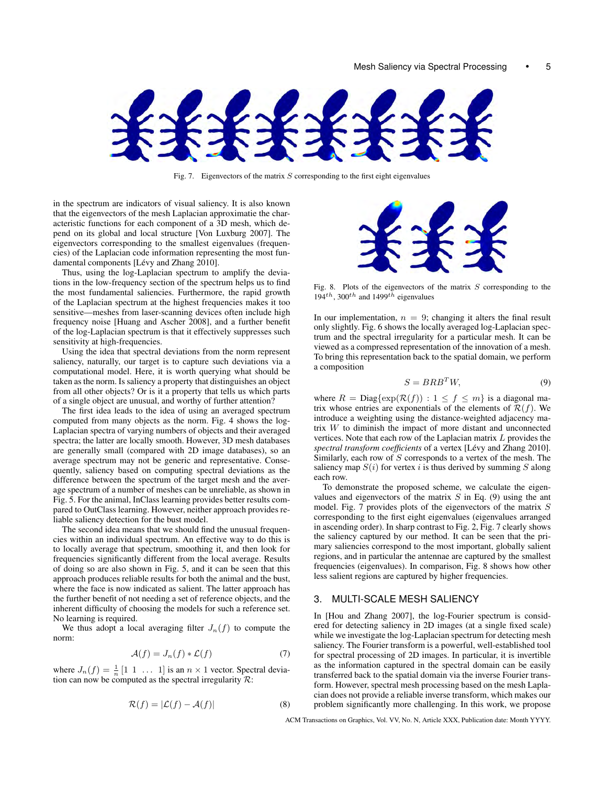Fig. 7. Eigenvectors of the matrix  $S$  corresponding to the first eight eigenvalues

in the spectrum are indicators of visual saliency. It is also known that the eigenvectors of the mesh Laplacian approximatie the characteristic functions for each component of a 3D mesh, which depend on its global and local structure [Von Luxburg 2007]. The eigenvectors corresponding to the smallest eigenvalues (frequencies) of the Laplacian code information representing the most fundamental components [Lévy and Zhang 2010].

Thus, using the log-Laplacian spectrum to amplify the deviations in the low-frequency section of the spectrum helps us to find the most fundamental saliencies. Furthermore, the rapid growth of the Laplacian spectrum at the highest frequencies makes it too sensitive—meshes from laser-scanning devices often include high frequency noise [Huang and Ascher 2008], and a further benefit of the log-Laplacian spectrum is that it effectively suppresses such sensitivity at high-frequencies.

Using the idea that spectral deviations from the norm represent saliency, naturally, our target is to capture such deviations via a computational model. Here, it is worth querying what should be taken as the norm. Is saliency a property that distinguishes an object from all other objects? Or is it a property that tells us which parts of a single object are unusual, and worthy of further attention?

The first idea leads to the idea of using an averaged spectrum computed from many objects as the norm. Fig. 4 shows the log-Laplacian spectra of varying numbers of objects and their averaged spectra; the latter are locally smooth. However, 3D mesh databases are generally small (compared with 2D image databases), so an average spectrum may not be generic and representative. Consequently, saliency based on computing spectral deviations as the difference between the spectrum of the target mesh and the average spectrum of a number of meshes can be unreliable, as shown in Fig. 5. For the animal, InClass learning provides better results compared to OutClass learning. However, neither approach provides reliable saliency detection for the bust model.

The second idea means that we should find the unusual frequencies within an individual spectrum. An effective way to do this is to locally average that spectrum, smoothing it, and then look for frequencies significantly different from the local average. Results of doing so are also shown in Fig. 5, and it can be seen that this approach produces reliable results for both the animal and the bust, where the face is now indicated as salient. The latter approach has the further benefit of not needing a set of reference objects, and the inherent difficulty of choosing the models for such a reference set. No learning is required.

We thus adopt a local averaging filter  $J_n(f)$  to compute the norm:

$$
\mathcal{A}(f) = J_n(f) * \mathcal{L}(f) \tag{7}
$$

where  $J_n(f) = \frac{1}{n} [1 \ 1 \ \dots \ 1]$  is an  $n \times 1$  vector. Spectral deviation can now be computed as the spectral irregularity  $\mathcal{R}$ :

$$
\mathcal{R}(f) = |\mathcal{L}(f) - \mathcal{A}(f)| \tag{8}
$$



Fig. 8. Plots of the eigenvectors of the matrix  $S$  corresponding to the  $194^{th}$ , 300<sup>th</sup> and 1499<sup>th</sup> eigenvalues

In our implementation,  $n = 9$ ; changing it alters the final result only slightly. Fig. 6 shows the locally averaged log-Laplacian spectrum and the spectral irregularity for a particular mesh. It can be viewed as a compressed representation of the innovation of a mesh. To bring this representation back to the spatial domain, we perform a composition

$$
S = B R B^T W, \tag{9}
$$

where  $R = \text{Diag}\{\exp(\mathcal{R}(f)) : 1 \leq f \leq m\}$  is a diagonal matrix whose entries are exponentials of the elements of  $\mathcal{R}(f)$ . We introduce a weighting using the distance-weighted adjacency matrix  $W$  to diminish the impact of more distant and unconnected vertices. Note that each row of the Laplacian matrix L provides the spectral transform coefficients of a vertex [Lévy and Zhang 2010]. Similarly, each row of  $S$  corresponds to a vertex of the mesh. The saliency map  $S(i)$  for vertex i is thus derived by summing S along each row.

To demonstrate the proposed scheme, we calculate the eigenvalues and eigenvectors of the matrix  $S$  in Eq. (9) using the ant model. Fig. 7 provides plots of the eigenvectors of the matrix S corresponding to the first eight eigenvalues (eigenvalues arranged in ascending order). In sharp contrast to Fig. 2, Fig. 7 clearly shows the saliency captured by our method. It can be seen that the primary saliencies correspond to the most important, globally salient regions, and in particular the antennae are captured by the smallest frequencies (eigenvalues). In comparison, Fig. 8 shows how other less salient regions are captured by higher frequencies.

## 3. MULTI-SCALE MESH SALIENCY

In [Hou and Zhang 2007], the log-Fourier spectrum is considered for detecting saliency in 2D images (at a single fixed scale) while we investigate the log-Laplacian spectrum for detecting mesh saliency. The Fourier transform is a powerful, well-established tool for spectral processing of 2D images. In particular, it is invertible as the information captured in the spectral domain can be easily transferred back to the spatial domain via the inverse Fourier transform. However, spectral mesh processing based on the mesh Laplacian does not provide a reliable inverse transform, which makes our problem significantly more challenging. In this work, we propose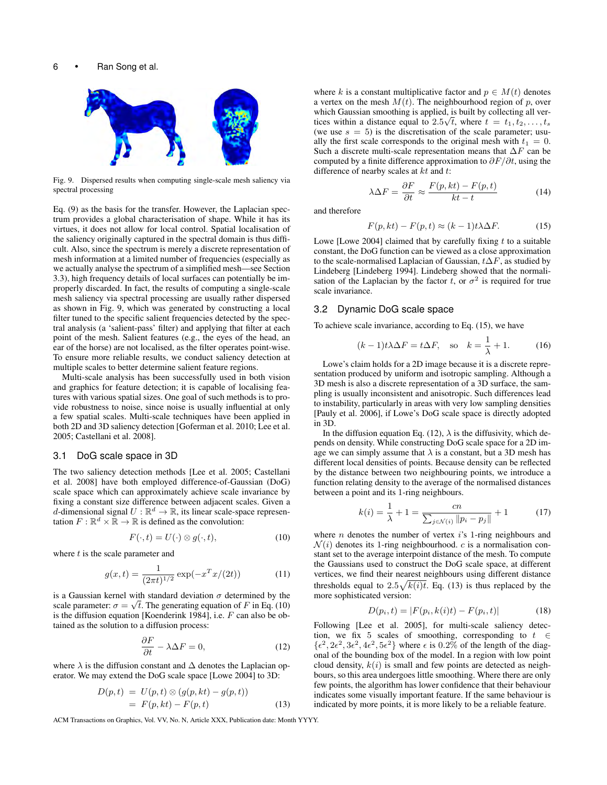

Fig. 9. Dispersed results when computing single-scale mesh saliency via spectral processing

Eq. (9) as the basis for the transfer. However, the Laplacian spectrum provides a global characterisation of shape. While it has its virtues, it does not allow for local control. Spatial localisation of the saliency originally captured in the spectral domain is thus difficult. Also, since the spectrum is merely a discrete representation of mesh information at a limited number of frequencies (especially as we actually analyse the spectrum of a simplified mesh—see Section 3.3), high frequency details of local surfaces can potentially be improperly discarded. In fact, the results of computing a single-scale mesh saliency via spectral processing are usually rather dispersed as shown in Fig. 9, which was generated by constructing a local filter tuned to the specific salient frequencies detected by the spectral analysis (a 'salient-pass' filter) and applying that filter at each point of the mesh. Salient features (e.g., the eyes of the head, an ear of the horse) are not localised, as the filter operates point-wise. To ensure more reliable results, we conduct saliency detection at multiple scales to better determine salient feature regions.

Multi-scale analysis has been successfully used in both vision and graphics for feature detection; it is capable of localising features with various spatial sizes. One goal of such methods is to provide robustness to noise, since noise is usually influential at only a few spatial scales. Multi-scale techniques have been applied in both 2D and 3D saliency detection [Goferman et al. 2010; Lee et al. 2005; Castellani et al. 2008].

#### 3.1 DoG scale space in 3D

The two saliency detection methods [Lee et al. 2005; Castellani et al. 2008] have both employed difference-of-Gaussian (DoG) scale space which can approximately achieve scale invariance by fixing a constant size difference between adjacent scales. Given a d-dimensional signal  $U : \mathbb{R}^d \to \mathbb{R}$ , its linear scale-space representation  $F: \mathbb{R}^d \times \mathbb{R} \to \mathbb{R}$  is defined as the convolution:

$$
F(\cdot, t) = U(\cdot) \otimes g(\cdot, t),\tag{10}
$$

where  $t$  is the scale parameter and

$$
g(x,t) = \frac{1}{(2\pi t)^{1/2}} \exp(-x^T x/(2t))
$$
 (11)

is a Gaussian kernel with standard deviation  $\sigma$  determined by the scale parameter:  $\sigma = \sqrt{t}$ . The generating equation of F in Eq. (10) is the diffusion equation [Koenderink 1984], i.e. F can also be obtained as the solution to a diffusion process:

$$
\frac{\partial F}{\partial t} - \lambda \Delta F = 0,\tag{12}
$$

where  $\lambda$  is the diffusion constant and  $\Delta$  denotes the Laplacian operator. We may extend the DoG scale space [Lowe 2004] to 3D:

$$
D(p,t) = U(p,t) \otimes (g(p,kt) - g(p,t))
$$
  
= F(p,kt) - F(p,t) (13)

ACM Transactions on Graphics, Vol. VV, No. N, Article XXX, Publication date: Month YYYY.

where k is a constant multiplicative factor and  $p \in M(t)$  denotes a vertex on the mesh  $M(t)$ . The neighbourhood region of p, over which Gaussian smoothing is applied, is built by collecting all vertices within a distance equal to  $2.5\sqrt{t}$ , where  $t = t_1, t_2, \ldots, t_s$ (we use  $s = 5$ ) is the discretisation of the scale parameter; usually the first scale corresponds to the original mesh with  $t_1 = 0$ . Such a discrete multi-scale representation means that  $\Delta F$  can be computed by a finite difference approximation to  $\partial F/\partial t$ , using the difference of nearby scales at  $kt$  and  $t$ :

$$
\lambda \Delta F = \frac{\partial F}{\partial t} \approx \frac{F(p, kt) - F(p, t)}{kt - t}
$$
(14)

and therefore

$$
F(p, kt) - F(p, t) \approx (k - 1)t\lambda \Delta F.
$$
 (15)

Lowe [Lowe 2004] claimed that by carefully fixing  $t$  to a suitable constant, the DoG function can be viewed as a close approximation to the scale-normalised Laplacian of Gaussian, t∆F, as studied by Lindeberg [Lindeberg 1994]. Lindeberg showed that the normalisation of the Laplacian by the factor t, or  $\sigma^2$  is required for true scale invariance.

#### 3.2 Dynamic DoG scale space

To achieve scale invariance, according to Eq. (15), we have

$$
(k-1)t\lambda\Delta F = t\Delta F, \text{ so } k = \frac{1}{\lambda} + 1. \quad (16)
$$

Lowe's claim holds for a 2D image because it is a discrete representation produced by uniform and isotropic sampling. Although a 3D mesh is also a discrete representation of a 3D surface, the sampling is usually inconsistent and anisotropic. Such differences lead to instability, particularly in areas with very low sampling densities [Pauly et al. 2006], if Lowe's DoG scale space is directly adopted in 3D.

In the diffusion equation Eq. (12),  $\lambda$  is the diffusivity, which depends on density. While constructing DoG scale space for a 2D image we can simply assume that  $\lambda$  is a constant, but a 3D mesh has different local densities of points. Because density can be reflected by the distance between two neighbouring points, we introduce a function relating density to the average of the normalised distances between a point and its 1-ring neighbours.

$$
k(i) = \frac{1}{\lambda} + 1 = \frac{cn}{\sum_{j \in \mathcal{N}(i)} ||p_i - p_j||} + 1
$$
 (17)

where  $n$  denotes the number of vertex  $i$ 's 1-ring neighbours and  $\mathcal{N}(i)$  denotes its 1-ring neighbourhood. c is a normalisation constant set to the average interpoint distance of the mesh. To compute the Gaussians used to construct the DoG scale space, at different vertices, we find their nearest neighbours using different distance thresholds equal to  $2.5\sqrt{k(i)}t$ . Eq. (13) is thus replaced by the more sophisticated version:

$$
D(p_i, t) = |F(p_i, k(i)t) - F(p_i, t)| \tag{18}
$$

Following [Lee et al. 2005], for multi-scale saliency detection, we fix 5 scales of smoothing, corresponding to  $t \in \mathbb{R}$  $\{\epsilon^2, 2\epsilon^2, 3\epsilon^2, 4\epsilon^2, 5\epsilon^2\}$  where  $\epsilon$  is 0.2% of the length of the diagonal of the bounding box of the model. In a region with low point cloud density,  $k(i)$  is small and few points are detected as neighbours, so this area undergoes little smoothing. Where there are only few points, the algorithm has lower confidence that their behaviour indicates some visually important feature. If the same behaviour is indicated by more points, it is more likely to be a reliable feature.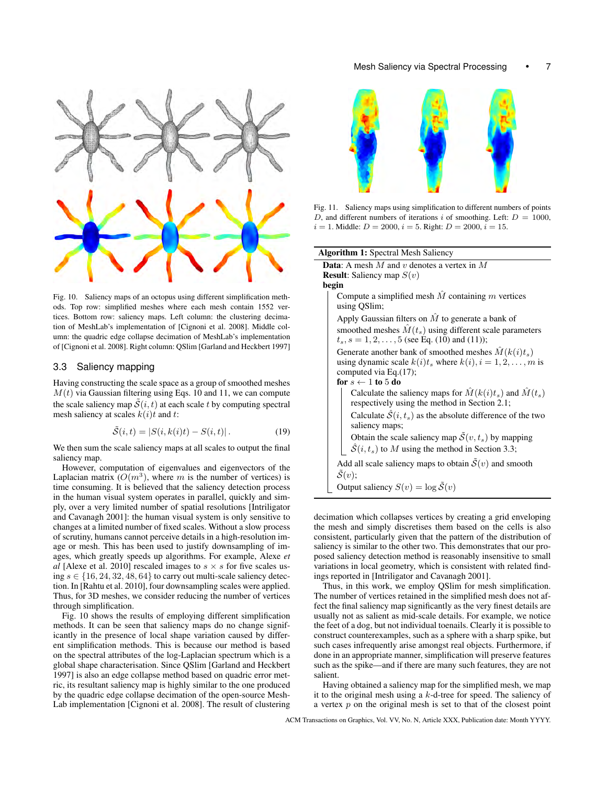

Fig. 10. Saliency maps of an octopus using different simplification methods. Top row: simplified meshes where each mesh contain 1552 vertices. Bottom row: saliency maps. Left column: the clustering decimation of MeshLab's implementation of [Cignoni et al. 2008]. Middle column: the quadric edge collapse decimation of MeshLab's implementation of [Cignoni et al. 2008]. Right column: QSlim [Garland and Heckbert 1997]

## 3.3 Saliency mapping

Having constructing the scale space as a group of smoothed meshes  $M(t)$  via Gaussian filtering using Eqs. 10 and 11, we can compute the scale saliency map  $\tilde{S}(i, t)$  at each scale t by computing spectral mesh saliency at scales  $k(i)t$  and t:

$$
\tilde{S}(i,t) = |S(i,k(i)t) - S(i,t)|.
$$
 (19)

We then sum the scale saliency maps at all scales to output the final saliency map.

However, computation of eigenvalues and eigenvectors of the Laplacian matrix  $(O(m^3))$ , where m is the number of vertices) is time consuming. It is believed that the saliency detection process in the human visual system operates in parallel, quickly and simply, over a very limited number of spatial resolutions [Intriligator and Cavanagh 2001]: the human visual system is only sensitive to changes at a limited number of fixed scales. Without a slow process of scrutiny, humans cannot perceive details in a high-resolution image or mesh. This has been used to justify downsampling of images, which greatly speeds up algorithms. For example, Alexe *et al* [Alexe et al. 2010] rescaled images to  $s \times s$  for five scales using  $s \in \{16, 24, 32, 48, 64\}$  to carry out multi-scale saliency detection. In [Rahtu et al. 2010], four downsampling scales were applied. Thus, for 3D meshes, we consider reducing the number of vertices through simplification.

Fig. 10 shows the results of employing different simplification methods. It can be seen that saliency maps do no change significantly in the presence of local shape variation caused by different simplification methods. This is because our method is based on the spectral attributes of the log-Laplacian spectrum which is a global shape characterisation. Since QSlim [Garland and Heckbert 1997] is also an edge collapse method based on quadric error metric, its resultant saliency map is highly similar to the one produced by the quadric edge collapse decimation of the open-source Mesh-Lab implementation [Cignoni et al. 2008]. The result of clustering



Fig. 11. Saliency maps using simplification to different numbers of points D, and different numbers of iterations i of smoothing. Left:  $D = 1000$ ,  $i = 1$ . Middle:  $D = 2000$ ,  $i = 5$ . Right:  $D = 2000$ ,  $i = 15$ .

| <b>Algorithm 1:</b> Spectral Mesh Saliency |                                                                                                                                                            |  |  |  |
|--------------------------------------------|------------------------------------------------------------------------------------------------------------------------------------------------------------|--|--|--|
|                                            | <b>Data:</b> A mesh $M$ and $v$ denotes a vertex in $M$<br><b>Result:</b> Saliency map $S(v)$<br>begin                                                     |  |  |  |
|                                            | Compute a simplified mesh $\hat{M}$ containing m vertices<br>using QSlim;                                                                                  |  |  |  |
|                                            | Apply Gaussian filters on $M$ to generate a bank of                                                                                                        |  |  |  |
|                                            | smoothed meshes $\hat{M}(t_s)$ using different scale parameters<br>$t_s$ , $s = 1, 2, \ldots, 5$ (see Eq. (10) and (11));                                  |  |  |  |
|                                            | Generate another bank of smoothed meshes $\tilde{M}(k(i)t_s)$<br>using dynamic scale $k(i)t_s$ where $k(i), i = 1, 2, , m$ is<br>computed via Eq. $(17)$ ; |  |  |  |
|                                            | for $s \leftarrow 1$ to 5 do                                                                                                                               |  |  |  |
|                                            | Calculate the saliency maps for $\hat{M}(k(i)t_s)$ and $\hat{M}(t_s)$<br>respectively using the method in Section 2.1;                                     |  |  |  |
|                                            | Calculate $\hat{S}(i, t_s)$ as the absolute difference of the two<br>saliency maps;                                                                        |  |  |  |
|                                            | Obtain the scale saliency map $\tilde{S}(v, t_s)$ by mapping<br>$\hat{S}(i, t_s)$ to M using the method in Section 3.3;                                    |  |  |  |
|                                            | Add all scale saliency maps to obtain $\tilde{S}(v)$ and smooth<br>$\tilde{\mathcal{S}}(v);$                                                               |  |  |  |
|                                            | Output saliency $S(v) = \log \tilde{S}(v)$                                                                                                                 |  |  |  |

decimation which collapses vertices by creating a grid enveloping the mesh and simply discretises them based on the cells is also consistent, particularly given that the pattern of the distribution of saliency is similar to the other two. This demonstrates that our proposed saliency detection method is reasonably insensitive to small variations in local geometry, which is consistent with related findings reported in [Intriligator and Cavanagh 2001].

Thus, in this work, we employ QSlim for mesh simplification. The number of vertices retained in the simplified mesh does not affect the final saliency map significantly as the very finest details are usually not as salient as mid-scale details. For example, we notice the feet of a dog, but not individual toenails. Clearly it is possible to construct counterexamples, such as a sphere with a sharp spike, but such cases infrequently arise amongst real objects. Furthermore, if done in an appropriate manner, simplification will preserve features such as the spike—and if there are many such features, they are not salient.

Having obtained a saliency map for the simplified mesh, we map it to the original mesh using a  $k$ -d-tree for speed. The saliency of a vertex  $p$  on the original mesh is set to that of the closest point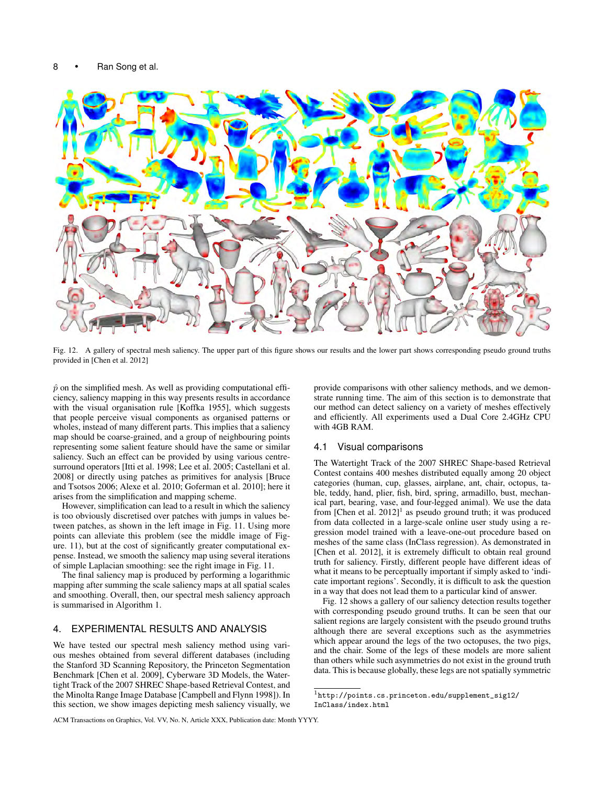

Fig. 12. A gallery of spectral mesh saliency. The upper part of this figure shows our results and the lower part shows corresponding pseudo ground truths provided in [Chen et al. 2012]

 $\hat{p}$  on the simplified mesh. As well as providing computational efficiency, saliency mapping in this way presents results in accordance with the visual organisation rule [Koffka 1955], which suggests that people perceive visual components as organised patterns or wholes, instead of many different parts. This implies that a saliency map should be coarse-grained, and a group of neighbouring points representing some salient feature should have the same or similar saliency. Such an effect can be provided by using various centresurround operators [Itti et al. 1998; Lee et al. 2005; Castellani et al. 2008] or directly using patches as primitives for analysis [Bruce and Tsotsos 2006; Alexe et al. 2010; Goferman et al. 2010]; here it arises from the simplification and mapping scheme.

However, simplification can lead to a result in which the saliency is too obviously discretised over patches with jumps in values between patches, as shown in the left image in Fig. 11. Using more points can alleviate this problem (see the middle image of Figure. 11), but at the cost of significantly greater computational expense. Instead, we smooth the saliency map using several iterations of simple Laplacian smoothing: see the right image in Fig. 11.

The final saliency map is produced by performing a logarithmic mapping after summing the scale saliency maps at all spatial scales and smoothing. Overall, then, our spectral mesh saliency approach is summarised in Algorithm 1.

# 4. EXPERIMENTAL RESULTS AND ANALYSIS

We have tested our spectral mesh saliency method using various meshes obtained from several different databases (including the Stanford 3D Scanning Repository, the Princeton Segmentation Benchmark [Chen et al. 2009], Cyberware 3D Models, the Watertight Track of the 2007 SHREC Shape-based Retrieval Contest, and the Minolta Range Image Database [Campbell and Flynn 1998]). In this section, we show images depicting mesh saliency visually, we

provide comparisons with other saliency methods, and we demonstrate running time. The aim of this section is to demonstrate that our method can detect saliency on a variety of meshes effectively and efficiently. All experiments used a Dual Core 2.4GHz CPU with 4GB RAM.

## 4.1 Visual comparisons

The Watertight Track of the 2007 SHREC Shape-based Retrieval Contest contains 400 meshes distributed equally among 20 object categories (human, cup, glasses, airplane, ant, chair, octopus, table, teddy, hand, plier, fish, bird, spring, armadillo, bust, mechanical part, bearing, vase, and four-legged animal). We use the data from [Chen et al.  $2012$ ]<sup>1</sup> as pseudo ground truth; it was produced from data collected in a large-scale online user study using a regression model trained with a leave-one-out procedure based on meshes of the same class (InClass regression). As demonstrated in [Chen et al. 2012], it is extremely difficult to obtain real ground truth for saliency. Firstly, different people have different ideas of what it means to be perceptually important if simply asked to 'indicate important regions'. Secondly, it is difficult to ask the question in a way that does not lead them to a particular kind of answer.

Fig. 12 shows a gallery of our saliency detection results together with corresponding pseudo ground truths. It can be seen that our salient regions are largely consistent with the pseudo ground truths although there are several exceptions such as the asymmetries which appear around the legs of the two octopuses, the two pigs, and the chair. Some of the legs of these models are more salient than others while such asymmetries do not exist in the ground truth data. This is because globally, these legs are not spatially symmetric

<sup>1</sup>http://points.cs.princeton.edu/supplement\_sig12/ InClass/index.html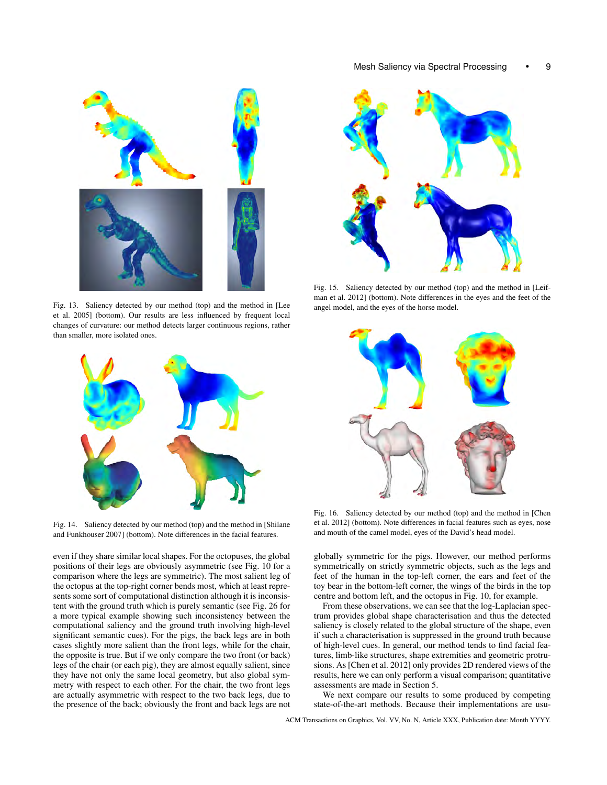

Fig. 13. Saliency detected by our method (top) and the method in [Lee et al. 2005] (bottom). Our results are less influenced by frequent local changes of curvature: our method detects larger continuous regions, rather than smaller, more isolated ones.



Fig. 14. Saliency detected by our method (top) and the method in [Shilane and Funkhouser 2007] (bottom). Note differences in the facial features.

even if they share similar local shapes. For the octopuses, the global positions of their legs are obviously asymmetric (see Fig. 10 for a comparison where the legs are symmetric). The most salient leg of the octopus at the top-right corner bends most, which at least represents some sort of computational distinction although it is inconsistent with the ground truth which is purely semantic (see Fig. 26 for a more typical example showing such inconsistency between the computational saliency and the ground truth involving high-level significant semantic cues). For the pigs, the back legs are in both cases slightly more salient than the front legs, while for the chair, the opposite is true. But if we only compare the two front (or back) legs of the chair (or each pig), they are almost equally salient, since they have not only the same local geometry, but also global symmetry with respect to each other. For the chair, the two front legs are actually asymmetric with respect to the two back legs, due to the presence of the back; obviously the front and back legs are not



Fig. 15. Saliency detected by our method (top) and the method in [Leifman et al. 2012] (bottom). Note differences in the eyes and the feet of the angel model, and the eyes of the horse model.



Fig. 16. Saliency detected by our method (top) and the method in [Chen et al. 2012] (bottom). Note differences in facial features such as eyes, nose and mouth of the camel model, eyes of the David's head model.

globally symmetric for the pigs. However, our method performs symmetrically on strictly symmetric objects, such as the legs and feet of the human in the top-left corner, the ears and feet of the toy bear in the bottom-left corner, the wings of the birds in the top centre and bottom left, and the octopus in Fig. 10, for example.

From these observations, we can see that the log-Laplacian spectrum provides global shape characterisation and thus the detected saliency is closely related to the global structure of the shape, even if such a characterisation is suppressed in the ground truth because of high-level cues. In general, our method tends to find facial features, limb-like structures, shape extremities and geometric protrusions. As [Chen et al. 2012] only provides 2D rendered views of the results, here we can only perform a visual comparison; quantitative assessments are made in Section 5.

We next compare our results to some produced by competing state-of-the-art methods. Because their implementations are usu-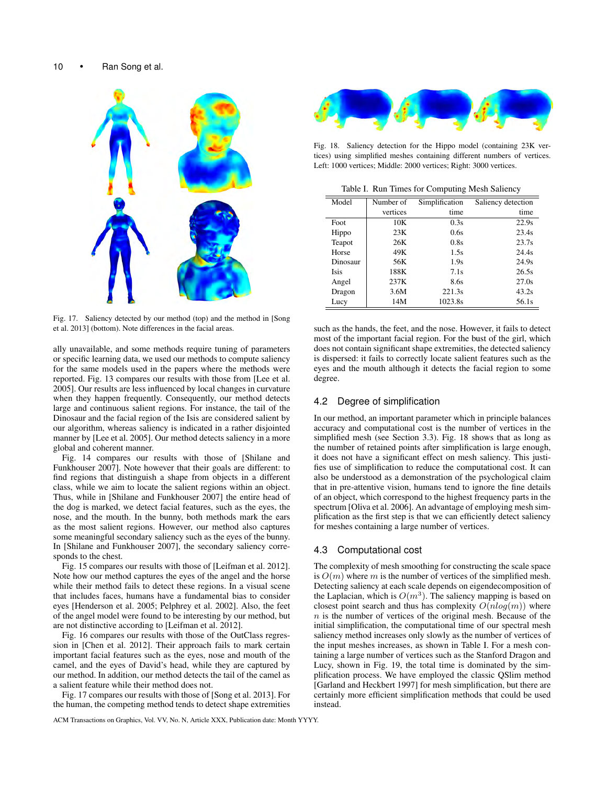

Fig. 17. Saliency detected by our method (top) and the method in [Song et al. 2013] (bottom). Note differences in the facial areas.

ally unavailable, and some methods require tuning of parameters or specific learning data, we used our methods to compute saliency for the same models used in the papers where the methods were reported. Fig. 13 compares our results with those from [Lee et al. 2005]. Our results are less influenced by local changes in curvature when they happen frequently. Consequently, our method detects large and continuous salient regions. For instance, the tail of the Dinosaur and the facial region of the Isis are considered salient by our algorithm, whereas saliency is indicated in a rather disjointed manner by [Lee et al. 2005]. Our method detects saliency in a more global and coherent manner.

Fig. 14 compares our results with those of [Shilane and Funkhouser 2007]. Note however that their goals are different: to find regions that distinguish a shape from objects in a different class, while we aim to locate the salient regions within an object. Thus, while in [Shilane and Funkhouser 2007] the entire head of the dog is marked, we detect facial features, such as the eyes, the nose, and the mouth. In the bunny, both methods mark the ears as the most salient regions. However, our method also captures some meaningful secondary saliency such as the eyes of the bunny. In [Shilane and Funkhouser 2007], the secondary saliency corresponds to the chest.

Fig. 15 compares our results with those of [Leifman et al. 2012]. Note how our method captures the eyes of the angel and the horse while their method fails to detect these regions. In a visual scene that includes faces, humans have a fundamental bias to consider eyes [Henderson et al. 2005; Pelphrey et al. 2002]. Also, the feet of the angel model were found to be interesting by our method, but are not distinctive according to [Leifman et al. 2012].

Fig. 16 compares our results with those of the OutClass regression in [Chen et al. 2012]. Their approach fails to mark certain important facial features such as the eyes, nose and mouth of the camel, and the eyes of David's head, while they are captured by our method. In addition, our method detects the tail of the camel as a salient feature while their method does not.

Fig. 17 compares our results with those of [Song et al. 2013]. For the human, the competing method tends to detect shape extremities



Fig. 18. Saliency detection for the Hippo model (containing 23K vertices) using simplified meshes containing different numbers of vertices. Left: 1000 vertices; Middle: 2000 vertices; Right: 3000 vertices.

Table I. Run Times for Computing Mesh Saliency

| Model       | Number of | Simplification | Saliency detection |
|-------------|-----------|----------------|--------------------|
|             | vertices  | time           | time               |
| Foot        | 10K       | 0.3s           | 22.9s              |
| Hippo       | 23K       | 0.6s           | 23.4s              |
| Teapot      | 26K       | 0.8s           | 23.7s              |
| Horse       | 49K       | 1.5s           | 24.4s              |
| Dinosaur    | 56K       | 1.9s           | 24.9s              |
| <b>Isis</b> | 188K      | 7.1s           | 26.5s              |
| Angel       | 237K      | 8.6s           | 27.0s              |
| Dragon      | 3.6M      | 221.3s         | 43.2s              |
| Lucy        | 14M       | 1023.8s        | 56.1s              |

such as the hands, the feet, and the nose. However, it fails to detect most of the important facial region. For the bust of the girl, which does not contain significant shape extremities, the detected saliency is dispersed: it fails to correctly locate salient features such as the eyes and the mouth although it detects the facial region to some degree.

## 4.2 Degree of simplification

In our method, an important parameter which in principle balances accuracy and computational cost is the number of vertices in the simplified mesh (see Section 3.3). Fig. 18 shows that as long as the number of retained points after simplification is large enough, it does not have a significant effect on mesh saliency. This justifies use of simplification to reduce the computational cost. It can also be understood as a demonstration of the psychological claim that in pre-attentive vision, humans tend to ignore the fine details of an object, which correspond to the highest frequency parts in the spectrum [Oliva et al. 2006]. An advantage of employing mesh simplification as the first step is that we can efficiently detect saliency for meshes containing a large number of vertices.

## 4.3 Computational cost

The complexity of mesh smoothing for constructing the scale space is  $O(m)$  where m is the number of vertices of the simplified mesh. Detecting saliency at each scale depends on eigendecomposition of the Laplacian, which is  $O(m^3)$ . The saliency mapping is based on closest point search and thus has complexity  $O(n \log(m))$  where  $n$  is the number of vertices of the original mesh. Because of the initial simplification, the computational time of our spectral mesh saliency method increases only slowly as the number of vertices of the input meshes increases, as shown in Table I. For a mesh containing a large number of vertices such as the Stanford Dragon and Lucy, shown in Fig. 19, the total time is dominated by the simplification process. We have employed the classic QSlim method [Garland and Heckbert 1997] for mesh simplification, but there are certainly more efficient simplification methods that could be used instead.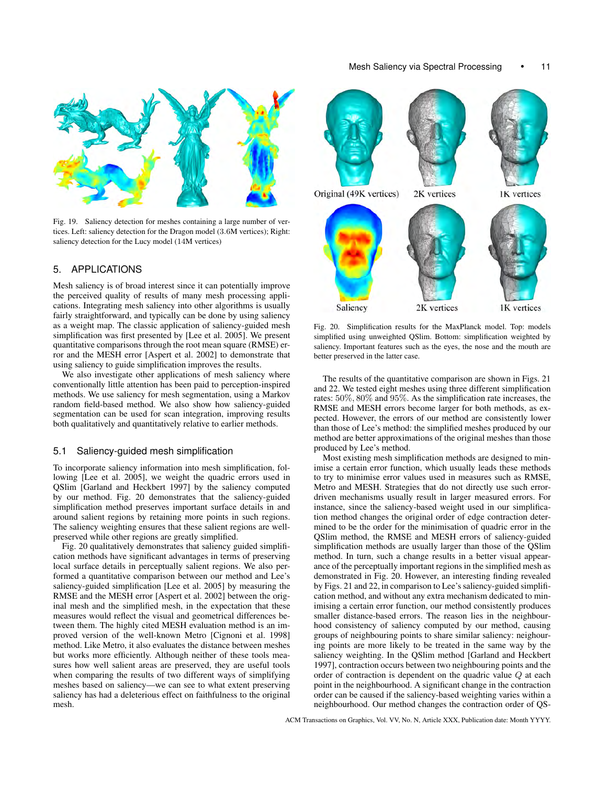Mesh Saliency via Spectral Processing • 11



Fig. 19. Saliency detection for meshes containing a large number of vertices. Left: saliency detection for the Dragon model (3.6M vertices); Right: saliency detection for the Lucy model (14M vertices)

# 5. APPLICATIONS

Mesh saliency is of broad interest since it can potentially improve the perceived quality of results of many mesh processing applications. Integrating mesh saliency into other algorithms is usually fairly straightforward, and typically can be done by using saliency as a weight map. The classic application of saliency-guided mesh simplification was first presented by [Lee et al. 2005]. We present quantitative comparisons through the root mean square (RMSE) error and the MESH error [Aspert et al. 2002] to demonstrate that using saliency to guide simplification improves the results.

We also investigate other applications of mesh saliency where conventionally little attention has been paid to perception-inspired methods. We use saliency for mesh segmentation, using a Markov random field-based method. We also show how saliency-guided segmentation can be used for scan integration, improving results both qualitatively and quantitatively relative to earlier methods.

#### 5.1 Saliency-guided mesh simplification

To incorporate saliency information into mesh simplification, following [Lee et al. 2005], we weight the quadric errors used in QSlim [Garland and Heckbert 1997] by the saliency computed by our method. Fig. 20 demonstrates that the saliency-guided simplification method preserves important surface details in and around salient regions by retaining more points in such regions. The saliency weighting ensures that these salient regions are wellpreserved while other regions are greatly simplified.

Fig. 20 qualitatively demonstrates that saliency guided simplification methods have significant advantages in terms of preserving local surface details in perceptually salient regions. We also performed a quantitative comparison between our method and Lee's saliency-guided simplification [Lee et al. 2005] by measuring the RMSE and the MESH error [Aspert et al. 2002] between the original mesh and the simplified mesh, in the expectation that these measures would reflect the visual and geometrical differences between them. The highly cited MESH evaluation method is an improved version of the well-known Metro [Cignoni et al. 1998] method. Like Metro, it also evaluates the distance between meshes but works more efficiently. Although neither of these tools measures how well salient areas are preserved, they are useful tools when comparing the results of two different ways of simplifying meshes based on saliency—we can see to what extent preserving saliency has had a deleterious effect on faithfulness to the original mesh.



Fig. 20. Simplification results for the MaxPlanck model. Top: models simplified using unweighted QSlim. Bottom: simplification weighted by saliency. Important features such as the eyes, the nose and the mouth are better preserved in the latter case.

The results of the quantitative comparison are shown in Figs. 21 and 22. We tested eight meshes using three different simplification rates: 50%, 80% and 95%. As the simplification rate increases, the RMSE and MESH errors become larger for both methods, as expected. However, the errors of our method are consistently lower than those of Lee's method: the simplified meshes produced by our method are better approximations of the original meshes than those produced by Lee's method.

Most existing mesh simplification methods are designed to minimise a certain error function, which usually leads these methods to try to minimise error values used in measures such as RMSE, Metro and MESH. Strategies that do not directly use such errordriven mechanisms usually result in larger measured errors. For instance, since the saliency-based weight used in our simplification method changes the original order of edge contraction determined to be the order for the minimisation of quadric error in the QSlim method, the RMSE and MESH errors of saliency-guided simplification methods are usually larger than those of the QSlim method. In turn, such a change results in a better visual appearance of the perceptually important regions in the simplified mesh as demonstrated in Fig. 20. However, an interesting finding revealed by Figs. 21 and 22, in comparison to Lee's saliency-guided simplification method, and without any extra mechanism dedicated to minimising a certain error function, our method consistently produces smaller distance-based errors. The reason lies in the neighbourhood consistency of saliency computed by our method, causing groups of neighbouring points to share similar saliency: neighouring points are more likely to be treated in the same way by the saliency weighting. In the QSlim method [Garland and Heckbert 1997], contraction occurs between two neighbouring points and the order of contraction is dependent on the quadric value Q at each point in the neighbourhood. A significant change in the contraction order can be caused if the saliency-based weighting varies within a neighbourhood. Our method changes the contraction order of QS-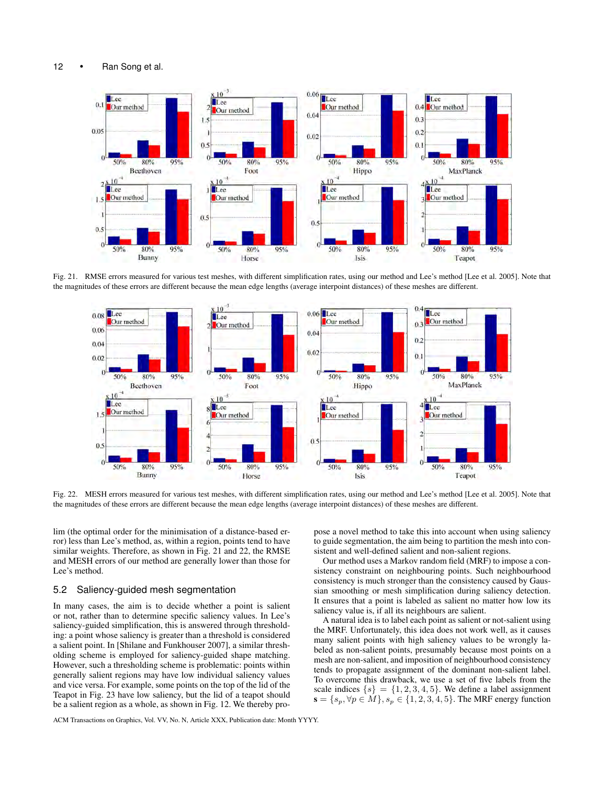#### 12 • Ran Song et al.



Fig. 21. RMSE errors measured for various test meshes, with different simplification rates, using our method and Lee's method [Lee et al. 2005]. Note that the magnitudes of these errors are different because the mean edge lengths (average interpoint distances) of these meshes are different.



Fig. 22. MESH errors measured for various test meshes, with different simplification rates, using our method and Lee's method [Lee et al. 2005]. Note that the magnitudes of these errors are different because the mean edge lengths (average interpoint distances) of these meshes are different.

lim (the optimal order for the minimisation of a distance-based error) less than Lee's method, as, within a region, points tend to have similar weights. Therefore, as shown in Fig. 21 and 22, the RMSE and MESH errors of our method are generally lower than those for Lee's method.

## 5.2 Saliency-guided mesh segmentation

In many cases, the aim is to decide whether a point is salient or not, rather than to determine specific saliency values. In Lee's saliency-guided simplification, this is answered through thresholding: a point whose saliency is greater than a threshold is considered a salient point. In [Shilane and Funkhouser 2007], a similar thresholding scheme is employed for saliency-guided shape matching. However, such a thresholding scheme is problematic: points within generally salient regions may have low individual saliency values and vice versa. For example, some points on the top of the lid of the Teapot in Fig. 23 have low saliency, but the lid of a teapot should be a salient region as a whole, as shown in Fig. 12. We thereby propose a novel method to take this into account when using saliency to guide segmentation, the aim being to partition the mesh into consistent and well-defined salient and non-salient regions.

Our method uses a Markov random field (MRF) to impose a consistency constraint on neighbouring points. Such neighbourhood consistency is much stronger than the consistency caused by Gaussian smoothing or mesh simplification during saliency detection. It ensures that a point is labeled as salient no matter how low its saliency value is, if all its neighbours are salient.

A natural idea is to label each point as salient or not-salient using the MRF. Unfortunately, this idea does not work well, as it causes many salient points with high saliency values to be wrongly labeled as non-salient points, presumably because most points on a mesh are non-salient, and imposition of neighbourhood consistency tends to propagate assignment of the dominant non-salient label. To overcome this drawback, we use a set of five labels from the scale indices  $\{s\} = \{1, 2, 3, 4, 5\}$ . We define a label assignment  $\mathbf{s} = \{s_p, \forall p \in M\}, s_p \in \{1, 2, 3, 4, 5\}.$  The MRF energy function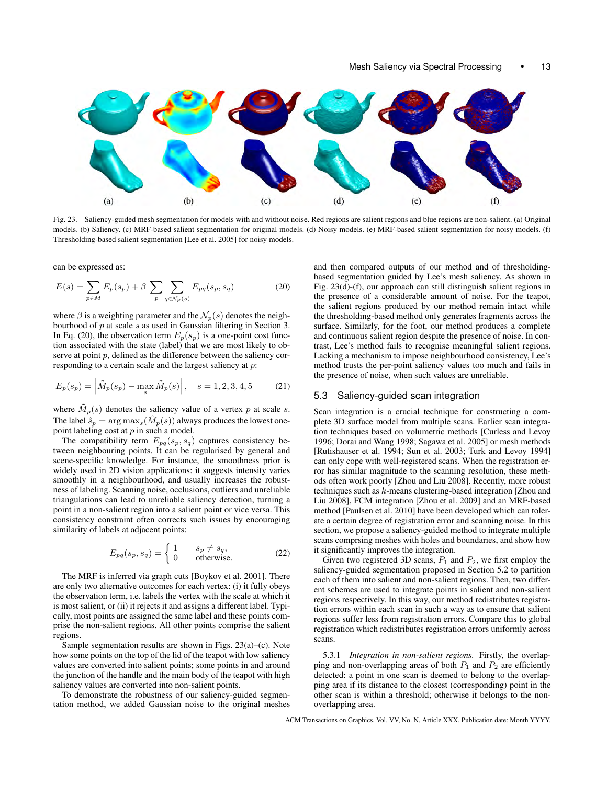

Fig. 23. Saliency-guided mesh segmentation for models with and without noise. Red regions are salient regions and blue regions are non-salient. (a) Original models. (b) Saliency. (c) MRF-based salient segmentation for original models. (d) Noisy models. (e) MRF-based salient segmentation for noisy models. (f) Thresholding-based salient segmentation [Lee et al. 2005] for noisy models.

can be expressed as:

$$
E(s) = \sum_{p \in M} E_p(s_p) + \beta \sum_p \sum_{q \in \mathcal{N}_p(s)} E_{pq}(s_p, s_q)
$$
 (20)

where  $\beta$  is a weighting parameter and the  $\mathcal{N}_p(s)$  denotes the neighbourhood of  $p$  at scale  $s$  as used in Gaussian filtering in Section 3. In Eq. (20), the observation term  $E_p(s_p)$  is a one-point cost function associated with the state (label) that we are most likely to observe at point p, defined as the difference between the saliency corresponding to a certain scale and the largest saliency at p:

$$
E_p(s_p) = \left| \tilde{M}_p(s_p) - \max_s \tilde{M}_p(s) \right|, \quad s = 1, 2, 3, 4, 5 \tag{21}
$$

where  $\tilde{M}_p(s)$  denotes the saliency value of a vertex p at scale s. The label  $\hat{s}_p = \argmax_s(\tilde{M}_p(s))$  always produces the lowest onepoint labeling cost at  $p$  in such a model.

The compatibility term  $E_{pq}(s_p, s_q)$  captures consistency between neighbouring points. It can be regularised by general and scene-specific knowledge. For instance, the smoothness prior is widely used in 2D vision applications: it suggests intensity varies smoothly in a neighbourhood, and usually increases the robustness of labeling. Scanning noise, occlusions, outliers and unreliable triangulations can lead to unreliable saliency detection, turning a point in a non-salient region into a salient point or vice versa. This consistency constraint often corrects such issues by encouraging similarity of labels at adjacent points:

$$
E_{pq}(s_p, s_q) = \begin{cases} 1 & s_p \neq s_q, \\ 0 & \text{otherwise.} \end{cases}
$$
 (22)

The MRF is inferred via graph cuts [Boykov et al. 2001]. There are only two alternative outcomes for each vertex: (i) it fully obeys the observation term, i.e. labels the vertex with the scale at which it is most salient, or (ii) it rejects it and assigns a different label. Typically, most points are assigned the same label and these points comprise the non-salient regions. All other points comprise the salient regions.

Sample segmentation results are shown in Figs. 23(a)–(c). Note how some points on the top of the lid of the teapot with low saliency values are converted into salient points; some points in and around the junction of the handle and the main body of the teapot with high saliency values are converted into non-salient points.

To demonstrate the robustness of our saliency-guided segmentation method, we added Gaussian noise to the original meshes and then compared outputs of our method and of thresholdingbased segmentation guided by Lee's mesh saliency. As shown in Fig. 23(d)-(f), our approach can still distinguish salient regions in the presence of a considerable amount of noise. For the teapot, the salient regions produced by our method remain intact while the thresholding-based method only generates fragments across the surface. Similarly, for the foot, our method produces a complete and continuous salient region despite the presence of noise. In contrast, Lee's method fails to recognise meaningful salient regions. Lacking a mechanism to impose neighbourhood consistency, Lee's method trusts the per-point saliency values too much and fails in the presence of noise, when such values are unreliable.

## 5.3 Saliency-guided scan integration

Scan integration is a crucial technique for constructing a complete 3D surface model from multiple scans. Earlier scan integration techniques based on volumetric methods [Curless and Levoy 1996; Dorai and Wang 1998; Sagawa et al. 2005] or mesh methods [Rutishauser et al. 1994; Sun et al. 2003; Turk and Levoy 1994] can only cope with well-registered scans. When the registration error has similar magnitude to the scanning resolution, these methods often work poorly [Zhou and Liu 2008]. Recently, more robust techniques such as k-means clustering-based integration [Zhou and Liu 2008], FCM integration [Zhou et al. 2009] and an MRF-based method [Paulsen et al. 2010] have been developed which can tolerate a certain degree of registration error and scanning noise. In this section, we propose a saliency-guided method to integrate multiple scans comprsing meshes with holes and boundaries, and show how it significantly improves the integration.

Given two registered 3D scans,  $P_1$  and  $P_2$ , we first employ the saliency-guided segmentation proposed in Section 5.2 to partition each of them into salient and non-salient regions. Then, two different schemes are used to integrate points in salient and non-salient regions respectively. In this way, our method redistributes registration errors within each scan in such a way as to ensure that salient regions suffer less from registration errors. Compare this to global registration which redistributes registration errors uniformly across scans.

5.3.1 *Integration in non-salient regions.* Firstly, the overlapping and non-overlapping areas of both  $P_1$  and  $P_2$  are efficiently detected: a point in one scan is deemed to belong to the overlapping area if its distance to the closest (corresponding) point in the other scan is within a threshold; otherwise it belongs to the nonoverlapping area.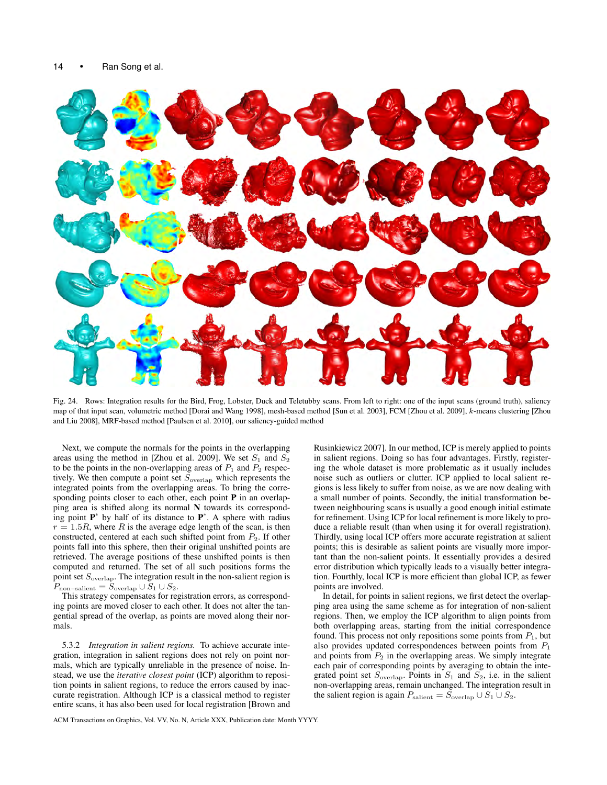

Fig. 24. Rows: Integration results for the Bird, Frog, Lobster, Duck and Teletubby scans. From left to right: one of the input scans (ground truth), saliency map of that input scan, volumetric method [Dorai and Wang 1998], mesh-based method [Sun et al. 2003], FCM [Zhou et al. 2009], k-means clustering [Zhou and Liu 2008], MRF-based method [Paulsen et al. 2010], our saliency-guided method

Next, we compute the normals for the points in the overlapping areas using the method in [Zhou et al. 2009]. We set  $S_1$  and  $S_2$ to be the points in the non-overlapping areas of  $P_1$  and  $P_2$  respectively. We then compute a point set  $S_{\text{overlap}}$  which represents the integrated points from the overlapping areas. To bring the corresponding points closer to each other, each point **P** in an overlapping area is shifted along its normal N towards its corresponding point  $\mathbf{P}^*$  by half of its distance to  $\mathbf{P}^*$ . A sphere with radius  $r = 1.5R$ , where R is the average edge length of the scan, is then constructed, centered at each such shifted point from  $P_2$ . If other points fall into this sphere, then their original unshifted points are retrieved. The average positions of these unshifted points is then computed and returned. The set of all such positions forms the point set  $S_{\text{overlap}}$ . The integration result in the non-salient region is  $P_{\text{non-salient}} = S_{\text{overlap}} \cup S_1 \cup S_2.$ 

This strategy compensates for registration errors, as corresponding points are moved closer to each other. It does not alter the tangential spread of the overlap, as points are moved along their normals.

5.3.2 *Integration in salient regions.* To achieve accurate integration, integration in salient regions does not rely on point normals, which are typically unreliable in the presence of noise. Instead, we use the *iterative closest point* (ICP) algorithm to reposition points in salient regions, to reduce the errors caused by inaccurate registration. Although ICP is a classical method to register entire scans, it has also been used for local registration [Brown and

Rusinkiewicz 2007]. In our method, ICP is merely applied to points in salient regions. Doing so has four advantages. Firstly, registering the whole dataset is more problematic as it usually includes noise such as outliers or clutter. ICP applied to local salient regions is less likely to suffer from noise, as we are now dealing with a small number of points. Secondly, the initial transformation between neighbouring scans is usually a good enough initial estimate for refinement. Using ICP for local refinement is more likely to produce a reliable result (than when using it for overall registration). Thirdly, using local ICP offers more accurate registration at salient points; this is desirable as salient points are visually more important than the non-salient points. It essentially provides a desired error distribution which typically leads to a visually better integration. Fourthly, local ICP is more efficient than global ICP, as fewer points are involved.

In detail, for points in salient regions, we first detect the overlapping area using the same scheme as for integration of non-salient regions. Then, we employ the ICP algorithm to align points from both overlapping areas, starting from the initial correspondence found. This process not only repositions some points from  $P_1$ , but also provides updated correspondences between points from  $P_1$ and points from  $P_2$  in the overlapping areas. We simply integrate each pair of corresponding points by averaging to obtain the integrated point set  $S_{\text{overlap}}$ . Points in  $S_1$  and  $S_2$ , i.e. in the salient non-overlapping areas, remain unchanged. The integration result in the salient region is again  $P_{\text{salient}} = S_{\text{overlap}} \cup S_1 \cup S_2$ .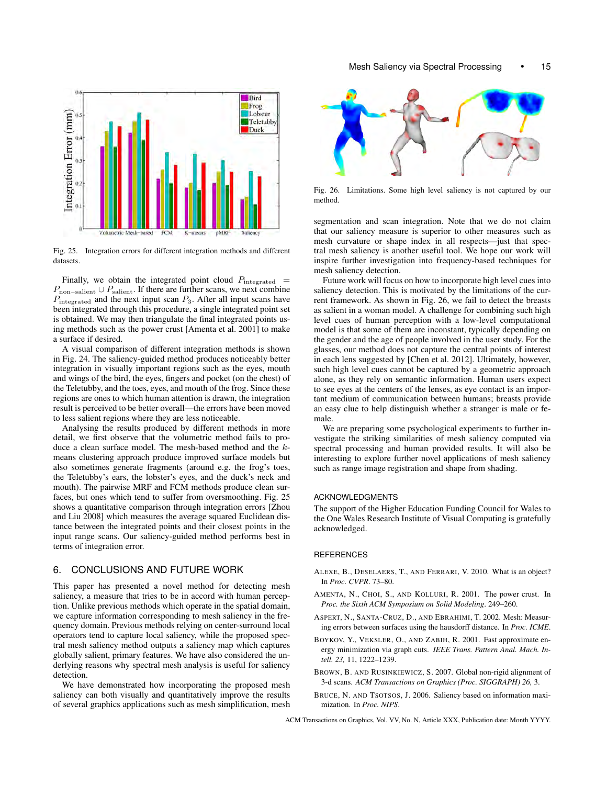



Fig. 25. Integration errors for different integration methods and different datasets.

Finally, we obtain the integrated point cloud  $P_{\text{integrated}}$  =  $P_{\text{non-salient}} \cup P_{\text{salient}}$ . If there are further scans, we next combine  $P_{\text{integrated}}$  and the next input scan  $P_3$ . After all input scans have been integrated through this procedure, a single integrated point set is obtained. We may then triangulate the final integrated points using methods such as the power crust [Amenta et al. 2001] to make a surface if desired.

A visual comparison of different integration methods is shown in Fig. 24. The saliency-guided method produces noticeably better integration in visually important regions such as the eyes, mouth and wings of the bird, the eyes, fingers and pocket (on the chest) of the Teletubby, and the toes, eyes, and mouth of the frog. Since these regions are ones to which human attention is drawn, the integration result is perceived to be better overall—the errors have been moved to less salient regions where they are less noticeable.

Analysing the results produced by different methods in more detail, we first observe that the volumetric method fails to produce a clean surface model. The mesh-based method and the kmeans clustering approach produce improved surface models but also sometimes generate fragments (around e.g. the frog's toes, the Teletubby's ears, the lobster's eyes, and the duck's neck and mouth). The pairwise MRF and FCM methods produce clean surfaces, but ones which tend to suffer from oversmoothing. Fig. 25 shows a quantitative comparison through integration errors [Zhou and Liu 2008] which measures the average squared Euclidean distance between the integrated points and their closest points in the input range scans. Our saliency-guided method performs best in terms of integration error.

## 6. CONCLUSIONS AND FUTURE WORK

This paper has presented a novel method for detecting mesh saliency, a measure that tries to be in accord with human perception. Unlike previous methods which operate in the spatial domain, we capture information corresponding to mesh saliency in the frequency domain. Previous methods relying on center-surround local operators tend to capture local saliency, while the proposed spectral mesh saliency method outputs a saliency map which captures globally salient, primary features. We have also considered the underlying reasons why spectral mesh analysis is useful for saliency detection.

We have demonstrated how incorporating the proposed mesh saliency can both visually and quantitatively improve the results of several graphics applications such as mesh simplification, mesh



Fig. 26. Limitations. Some high level saliency is not captured by our method.

segmentation and scan integration. Note that we do not claim that our saliency measure is superior to other measures such as mesh curvature or shape index in all respects—just that spectral mesh saliency is another useful tool. We hope our work will inspire further investigation into frequency-based techniques for mesh saliency detection.

Future work will focus on how to incorporate high level cues into saliency detection. This is motivated by the limitations of the current framework. As shown in Fig. 26, we fail to detect the breasts as salient in a woman model. A challenge for combining such high level cues of human perception with a low-level computational model is that some of them are inconstant, typically depending on the gender and the age of people involved in the user study. For the glasses, our method does not capture the central points of interest in each lens suggested by [Chen et al. 2012]. Ultimately, however, such high level cues cannot be captured by a geometric approach alone, as they rely on semantic information. Human users expect to see eyes at the centers of the lenses, as eye contact is an important medium of communication between humans; breasts provide an easy clue to help distinguish whether a stranger is male or female.

We are preparing some psychological experiments to further investigate the striking similarities of mesh saliency computed via spectral processing and human provided results. It will also be interesting to explore further novel applications of mesh saliency such as range image registration and shape from shading.

#### ACKNOWLEDGMENTS

The support of the Higher Education Funding Council for Wales to the One Wales Research Institute of Visual Computing is gratefully acknowledged.

## **REFERENCES**

- ALEXE, B., DESELAERS, T., AND FERRARI, V. 2010. What is an object? In *Proc. CVPR*. 73–80.
- AMENTA, N., CHOI, S., AND KOLLURI, R. 2001. The power crust. In *Proc. the Sixth ACM Symposium on Solid Modeling*. 249–260.
- ASPERT, N., SANTA-CRUZ, D., AND EBRAHIMI, T. 2002. Mesh: Measuring errors between surfaces using the hausdorff distance. In *Proc. ICME*.
- BOYKOV, Y., VEKSLER, O., AND ZABIH, R. 2001. Fast approximate energy minimization via graph cuts. *IEEE Trans. Pattern Anal. Mach. Intell. 23,* 11, 1222–1239.
- BROWN, B. AND RUSINKIEWICZ, S. 2007. Global non-rigid alignment of 3-d scans. *ACM Transactions on Graphics (Proc. SIGGRAPH) 26,* 3.
- BRUCE, N. AND TSOTSOS, J. 2006. Saliency based on information maximization. In *Proc. NIPS*.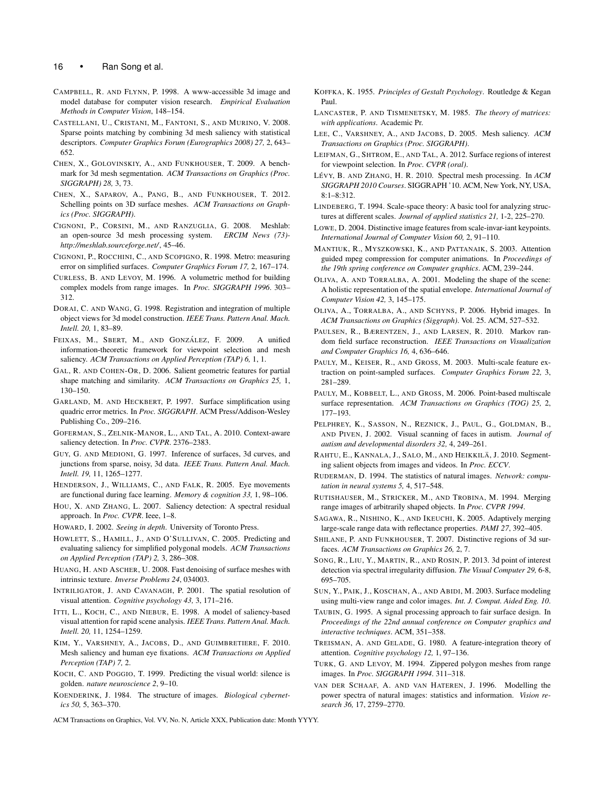- CAMPBELL, R. AND FLYNN, P. 1998. A www-accessible 3d image and model database for computer vision research. *Empirical Evaluation Methods in Computer Vision*, 148–154.
- CASTELLANI, U., CRISTANI, M., FANTONI, S., AND MURINO, V. 2008. Sparse points matching by combining 3d mesh saliency with statistical descriptors. *Computer Graphics Forum (Eurographics 2008) 27,* 2, 643– 652.
- CHEN, X., GOLOVINSKIY, A., AND FUNKHOUSER, T. 2009. A benchmark for 3d mesh segmentation. *ACM Transactions on Graphics (Proc. SIGGRAPH) 28,* 3, 73.
- CHEN, X., SAPAROV, A., PANG, B., AND FUNKHOUSER, T. 2012. Schelling points on 3D surface meshes. *ACM Transactions on Graphics (Proc. SIGGRAPH)*.
- CIGNONI, P., CORSINI, M., AND RANZUGLIA, G. 2008. Meshlab: an open-source 3d mesh processing system. *ERCIM News (73) http://meshlab.sourceforge.net/*, 45–46.
- CIGNONI, P., ROCCHINI, C., AND SCOPIGNO, R. 1998. Metro: measuring error on simplified surfaces. *Computer Graphics Forum 17,* 2, 167–174.
- CURLESS, B. AND LEVOY, M. 1996. A volumetric method for building complex models from range images. In *Proc. SIGGRAPH 1996*. 303– 312.
- DORAI, C. AND WANG, G. 1998. Registration and integration of multiple object views for 3d model construction. *IEEE Trans. Pattern Anal. Mach. Intell. 20,* 1, 83–89.
- FEIXAS, M., SBERT, M., AND GONZÁLEZ, F. 2009. A unified information-theoretic framework for viewpoint selection and mesh saliency. *ACM Transactions on Applied Perception (TAP) 6,* 1, 1.
- GAL, R. AND COHEN-OR, D. 2006. Salient geometric features for partial shape matching and similarity. *ACM Transactions on Graphics 25,* 1, 130–150.
- GARLAND, M. AND HECKBERT, P. 1997. Surface simplification using quadric error metrics. In *Proc. SIGGRAPH*. ACM Press/Addison-Wesley Publishing Co., 209–216.
- GOFERMAN, S., ZELNIK-MANOR, L., AND TAL, A. 2010. Context-aware saliency detection. In *Proc. CVPR*. 2376–2383.
- GUY, G. AND MEDIONI, G. 1997. Inference of surfaces, 3d curves, and junctions from sparse, noisy, 3d data. *IEEE Trans. Pattern Anal. Mach. Intell. 19,* 11, 1265–1277.
- HENDERSON, J., WILLIAMS, C., AND FALK, R. 2005. Eye movements are functional during face learning. *Memory & cognition 33,* 1, 98–106.
- HOU, X. AND ZHANG, L. 2007. Saliency detection: A spectral residual approach. In *Proc. CVPR*. Ieee, 1–8.
- HOWARD, I. 2002. *Seeing in depth*. University of Toronto Press.
- HOWLETT, S., HAMILL, J., AND O'SULLIVAN, C. 2005. Predicting and evaluating saliency for simplified polygonal models. *ACM Transactions on Applied Perception (TAP) 2,* 3, 286–308.
- HUANG, H. AND ASCHER, U. 2008. Fast denoising of surface meshes with intrinsic texture. *Inverse Problems 24*, 034003.
- INTRILIGATOR, J. AND CAVANAGH, P. 2001. The spatial resolution of visual attention. *Cognitive psychology 43,* 3, 171–216.
- ITTI, L., KOCH, C., AND NIEBUR, E. 1998. A model of saliency-based visual attention for rapid scene analysis. *IEEE Trans. Pattern Anal. Mach. Intell. 20,* 11, 1254–1259.
- KIM, Y., VARSHNEY, A., JACOBS, D., AND GUIMBRETIERE, F. 2010. Mesh saliency and human eye fixations. *ACM Transactions on Applied Perception (TAP) 7,* 2.
- KOCH, C. AND POGGIO, T. 1999. Predicting the visual world: silence is golden. *nature neuroscience 2*, 9–10.
- KOENDERINK, J. 1984. The structure of images. *Biological cybernetics 50,* 5, 363–370.
- ACM Transactions on Graphics, Vol. VV, No. N, Article XXX, Publication date: Month YYYY.
- KOFFKA, K. 1955. *Principles of Gestalt Psychology*. Routledge & Kegan Paul.
- LANCASTER, P. AND TISMENETSKY, M. 1985. *The theory of matrices: with applications*. Academic Pr.
- LEE, C., VARSHNEY, A., AND JACOBS, D. 2005. Mesh saliency. *ACM Transactions on Graphics (Proc. SIGGRAPH)*.
- LEIFMAN, G., SHTROM, E., AND TAL, A. 2012. Surface regions of interest for viewpoint selection. In *Proc. CVPR (oral)*.
- LÉVY, B. AND ZHANG, H. R. 2010. Spectral mesh processing. In *ACM SIGGRAPH 2010 Courses*. SIGGRAPH '10. ACM, New York, NY, USA, 8:1–8:312.
- LINDEBERG, T. 1994. Scale-space theory: A basic tool for analyzing structures at different scales. *Journal of applied statistics 21,* 1-2, 225–270.
- LOWE, D. 2004. Distinctive image features from scale-invar-iant keypoints. *International Journal of Computer Vision 60,* 2, 91–110.
- MANTIUK, R., MYSZKOWSKI, K., AND PATTANAIK, S. 2003. Attention guided mpeg compression for computer animations. In *Proceedings of the 19th spring conference on Computer graphics*. ACM, 239–244.
- OLIVA, A. AND TORRALBA, A. 2001. Modeling the shape of the scene: A holistic representation of the spatial envelope. *International Journal of Computer Vision 42,* 3, 145–175.
- OLIVA, A., TORRALBA, A., AND SCHYNS, P. 2006. Hybrid images. In *ACM Transactions on Graphics (Siggraph)*. Vol. 25. ACM, 527–532.
- PAULSEN, R., BÆRENTZEN, J., AND LARSEN, R. 2010. Markov random field surface reconstruction. *IEEE Transactions on Visualization and Computer Graphics 16,* 4, 636–646.
- PAULY, M., KEISER, R., AND GROSS, M. 2003. Multi-scale feature extraction on point-sampled surfaces. *Computer Graphics Forum 22,* 3, 281–289.
- PAULY, M., KOBBELT, L., AND GROSS, M. 2006. Point-based multiscale surface representation. *ACM Transactions on Graphics (TOG) 25,* 2, 177–193.
- PELPHREY, K., SASSON, N., REZNICK, J., PAUL, G., GOLDMAN, B., AND PIVEN, J. 2002. Visual scanning of faces in autism. *Journal of autism and developmental disorders 32,* 4, 249–261.
- RAHTU, E., KANNALA, J., SALO, M., AND HEIKKILÄ, J. 2010. Segmenting salient objects from images and videos. In *Proc. ECCV*.
- RUDERMAN, D. 1994. The statistics of natural images. *Network: computation in neural systems 5,* 4, 517–548.
- RUTISHAUSER, M., STRICKER, M., AND TROBINA, M. 1994. Merging range images of arbitrarily shaped objects. In *Proc. CVPR 1994*.
- SAGAWA, R., NISHINO, K., AND IKEUCHI, K. 2005. Adaptively merging large-scale range data with reflectance properties. *PAMI 27*, 392–405.
- SHILANE, P. AND FUNKHOUSER, T. 2007. Distinctive regions of 3d surfaces. *ACM Transactions on Graphics 26,* 2, 7.
- SONG, R., LIU, Y., MARTIN, R., AND ROSIN, P. 2013. 3d point of interest detection via spectral irregularity diffusion. *The Visual Computer 29,* 6-8, 695–705.
- SUN, Y., PAIK, J., KOSCHAN, A., AND ABIDI, M. 2003. Surface modeling using multi-view range and color images. *Int. J. Comput. Aided Eng. 10*.
- TAUBIN, G. 1995. A signal processing approach to fair surface design. In *Proceedings of the 22nd annual conference on Computer graphics and interactive techniques*. ACM, 351–358.
- TREISMAN, A. AND GELADE, G. 1980. A feature-integration theory of attention. *Cognitive psychology 12,* 1, 97–136.
- TURK, G. AND LEVOY, M. 1994. Zippered polygon meshes from range images. In *Proc. SIGGRAPH 1994*. 311–318.
- VAN DER SCHAAF, A. AND VAN HATEREN, J. 1996. Modelling the power spectra of natural images: statistics and information. *Vision research 36,* 17, 2759–2770.